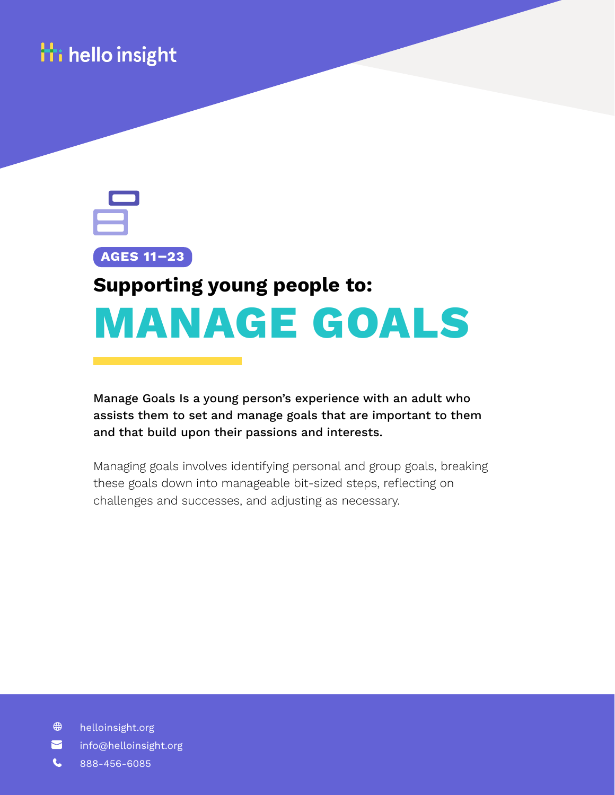



# **MANAGE GOALS Supporting young people to:**

Manage Goals Is a young person's experience with an adult who assists them to set and manage goals that are important to them and that build upon their passions and interests.

Managing goals involves identifying personal and group goals, breaking these goals down into manageable bit-sized steps, reflecting on challenges and successes, and adjusting as necessary.

- $\bigoplus$ helloinsight.org
- 2 info@helloinsight.org
- L 888-456-6085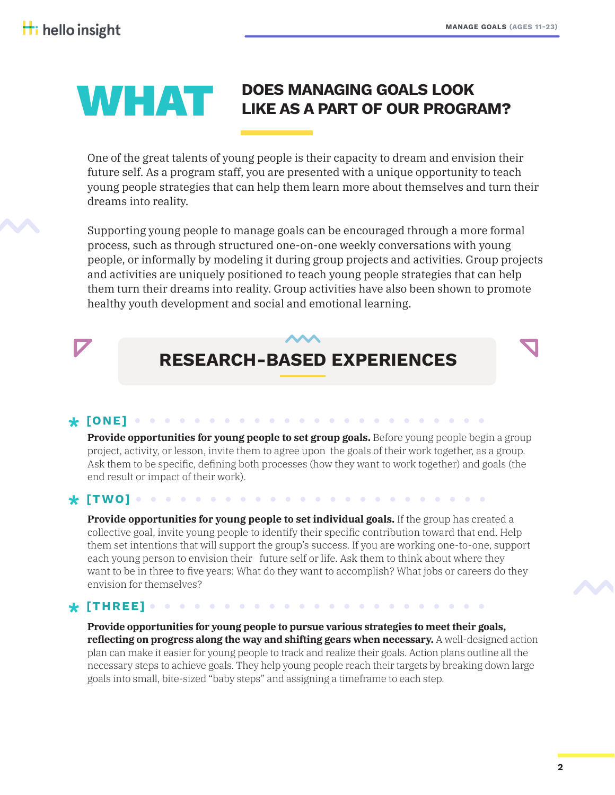# **WHAT DOES MANAGING GOALS LOOK**

One of the great talents of young people is their capacity to dream and envision their future self. As a program staff, you are presented with a unique opportunity to teach young people strategies that can help them learn more about themselves and turn their dreams into reality.

Supporting young people to manage goals can be encouraged through a more formal process, such as through structured one-on-one weekly conversations with young people, or informally by modeling it during group projects and activities. Group projects and activities are uniquely positioned to teach young people strategies that can help them turn their dreams into reality. Group activities have also been shown to promote healthy youth development and social and emotional learning.

## **RESEARCH-BASED EXPERIENCES**

#### **Provide opportunities for young people to set group goals.** Before young people begin a group project, activity, or lesson, invite them to agree upon the goals of their work together, as a group. Ask them to be specific, defining both processes (how they want to work together) and goals (the end result or impact of their work). **[ONE] \***

 $\bullet$ 

### **[TWO] \***

**Provide opportunities for young people to set individual goals.** If the group has created a collective goal, invite young people to identify their specific contribution toward that end. Help them set intentions that will support the group's success. If you are working one-to-one, support each young person to envision their future self or life. Ask them to think about where they want to be in three to five years: What do they want to accomplish? What jobs or careers do they envision for themselves?

#### **[THREE] \***

**Provide opportunities for young people to pursue various strategies to meet their goals, reflecting on progress along the way and shifting gears when necessary.** A well-designed action plan can make it easier for young people to track and realize their goals. Action plans outline all the necessary steps to achieve goals. They help young people reach their targets by breaking down large goals into small, bite-sized "baby steps" and assigning a timeframe to each step.

 $\mathbf{A} \mathbf{A} \mathbf{A} \mathbf{A} \mathbf{A} \mathbf{A}$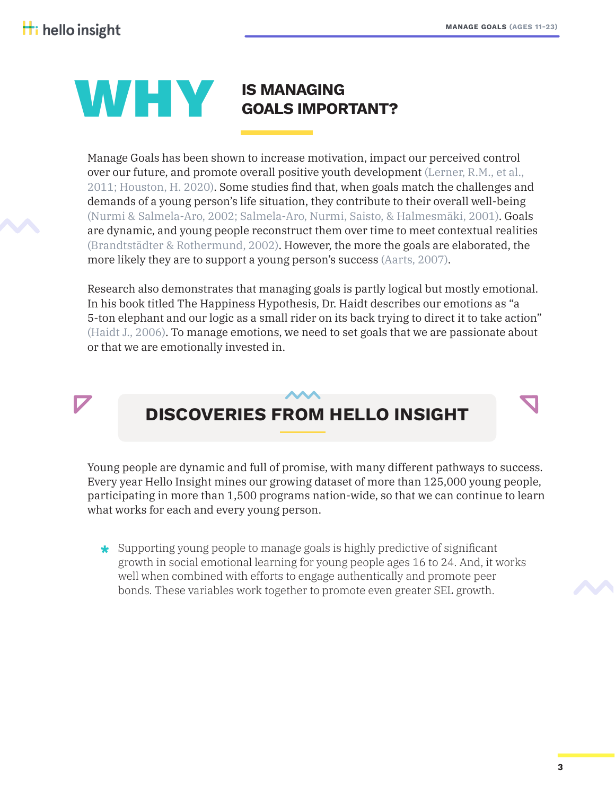# **IS MANAGING<br>GOALS IMPORTANT?**

Manage Goals has been shown to increase motivation, impact our perceived control over our future, and promote overall positive youth development (Lerner, R.M., et al., 2011; Houston, H. 2020). Some studies find that, when goals match the challenges and demands of a young person's life situation, they contribute to their overall well-being (Nurmi & Salmela-Aro, 2002; Salmela-Aro, Nurmi, Saisto, & Halmesmäki, 2001). Goals are dynamic, and young people reconstruct them over time to meet contextual realities (Brandtstädter & Rothermund, 2002). However, the more the goals are elaborated, the more likely they are to support a young person's success (Aarts, 2007).

Research also demonstrates that managing goals is partly logical but mostly emotional. In his book titled The Happiness Hypothesis, Dr. Haidt describes our emotions as "a 5-ton elephant and our logic as a small rider on its back trying to direct it to take action" (Haidt J., 2006). To manage emotions, we need to set goals that we are passionate about or that we are emotionally invested in.

### **DISCOVERIES FROM HELLO INSIGHT**

Young people are dynamic and full of promise, with many different pathways to success. Every year Hello Insight mines our growing dataset of more than 125,000 young people, participating in more than 1,500 programs nation-wide, so that we can continue to learn what works for each and every young person.

Supporting young people to manage goals is highly predictive of significant **\*** growth in social emotional learning for young people ages 16 to 24. And, it works well when combined with efforts to engage authentically and promote peer bonds. These variables work together to promote even greater SEL growth.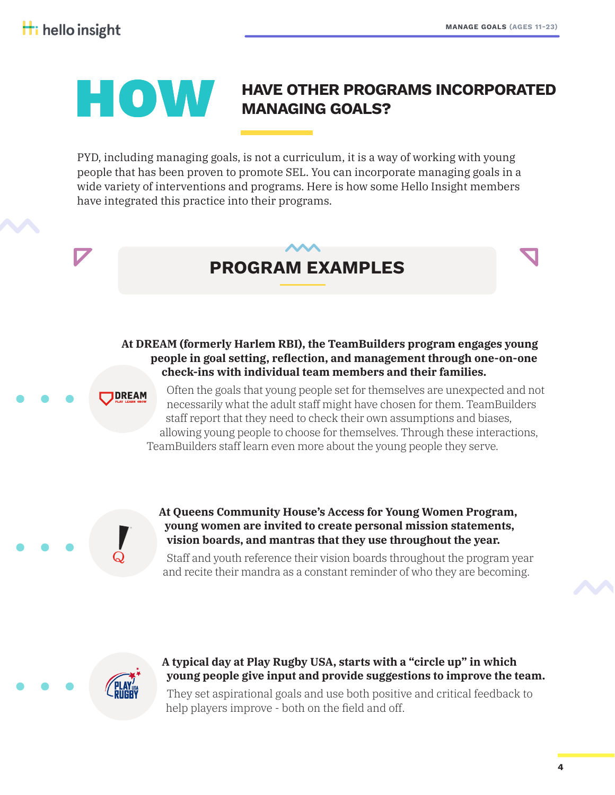### **HAVE OTHER PROGRAMS INCORPORATED**<br>MANAGING GOALS? **MANAGING GOALS?**

PYD, including managing goals, is not a curriculum, it is a way of working with young people that has been proven to promote SEL. You can incorporate managing goals in a wide variety of interventions and programs. Here is how some Hello Insight members have integrated this practice into their programs.

### **PROGRAM EXAMPLES**

### **At DREAM (formerly Harlem RBI), the TeamBuilders program engages young people in goal setting, reflection, and management through one-on-one check-ins with individual team members and their families.**

**DREAM** 

Often the goals that young people set for themselves are unexpected and not necessarily what the adult staff might have chosen for them. TeamBuilders staff report that they need to check their own assumptions and biases, allowing young people to choose for themselves. Through these interactions, TeamBuilders staff learn even more about the young people they serve.

**At Queens Community House's Access for Young Women Program, young women are invited to create personal mission statements, vision boards, and mantras that they use throughout the year.**

Staff and youth reference their vision boards throughout the program year and recite their mandra as a constant reminder of who they are becoming.



### **A typical day at Play Rugby USA, starts with a "circle up" in which young people give input and provide suggestions to improve the team.**

They set aspirational goals and use both positive and critical feedback to help players improve - both on the field and off.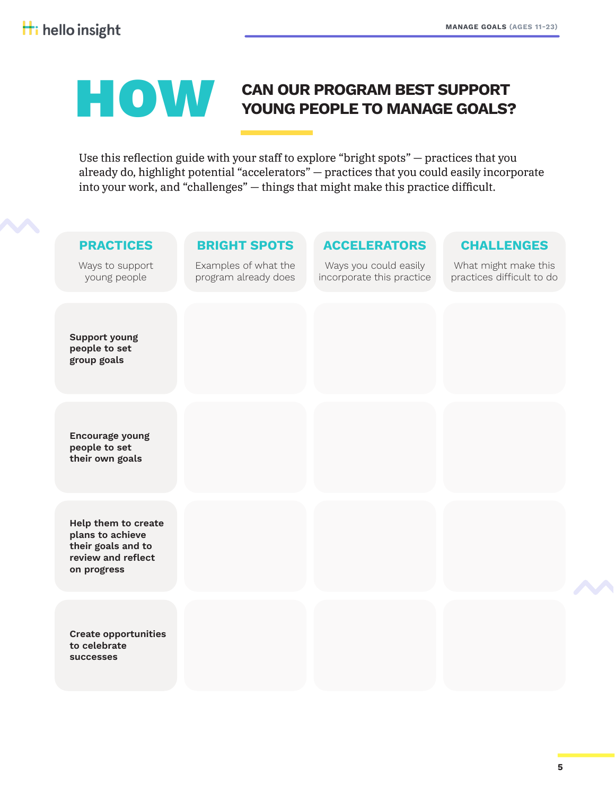# **CAN OUR PROGRAM BEST SUPPORT YOUNG PEOPLE TO MANAGE GOALS?**

Use this reflection guide with your staff to explore "bright spots" — practices that you already do, highlight potential "accelerators" — practices that you could easily incorporate into your work, and "challenges" — things that might make this practice difficult.